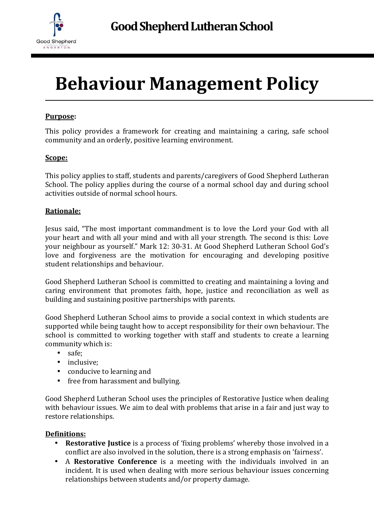

# **Behaviour Management Policy**

#### **Purpose:**

This policy provides a framework for creating and maintaining a caring, safe school community and an orderly, positive learning environment.

#### **Scope:**

This policy applies to staff, students and parents/caregivers of Good Shepherd Lutheran School. The policy applies during the course of a normal school day and during school activities outside of normal school hours.

#### **Rationale:**

Jesus said, "The most important commandment is to love the Lord your God with all your heart and with all your mind and with all your strength. The second is this: Love your neighbour as yourself." Mark 12: 30-31. At Good Shepherd Lutheran School God's love and forgiveness are the motivation for encouraging and developing positive student relationships and behaviour.

Good Shepherd Lutheran School is committed to creating and maintaining a loving and caring environment that promotes faith, hope, justice and reconciliation as well as building and sustaining positive partnerships with parents.

Good Shepherd Lutheran School aims to provide a social context in which students are supported while being taught how to accept responsibility for their own behaviour. The school is committed to working together with staff and students to create a learning community which is:

- safe;
- inclusive:
- conducive to learning and
- free from harassment and bullying.

Good Shepherd Lutheran School uses the principles of Restorative Justice when dealing with behaviour issues. We aim to deal with problems that arise in a fair and just way to restore relationships.

#### **Definitions:**

- **Restorative Justice** is a process of 'fixing problems' whereby those involved in a conflict are also involved in the solution, there is a strong emphasis on 'fairness'.
- A **Restorative Conference** is a meeting with the individuals involved in an incident. It is used when dealing with more serious behaviour issues concerning relationships between students and/or property damage.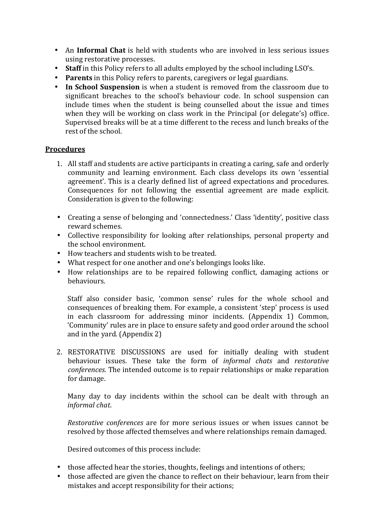- An **Informal Chat** is held with students who are involved in less serious issues using restorative processes.
- **Staff** in this Policy refers to all adults employed by the school including LSO's.
- **Parents** in this Policy refers to parents, caregivers or legal guardians.
- **In School Suspension** is when a student is removed from the classroom due to significant breaches to the school's behaviour code. In school suspension can include times when the student is being counselled about the issue and times when they will be working on class work in the Principal (or delegate's) office. Supervised breaks will be at a time different to the recess and lunch breaks of the rest of the school.

#### **Procedures**

- 1. All staff and students are active participants in creating a caring, safe and orderly community and learning environment. Each class develops its own 'essential agreement'. This is a clearly defined list of agreed expectations and procedures. Consequences for not following the essential agreement are made explicit. Consideration is given to the following:
- Creating a sense of belonging and 'connectedness.' Class 'identity', positive class reward schemes.
- Collective responsibility for looking after relationships, personal property and the school environment.
- How teachers and students wish to be treated.
- What respect for one another and one's belongings looks like.
- How relationships are to be repaired following conflict, damaging actions or behaviours.

Staff also consider basic, 'common sense' rules for the whole school and consequences of breaking them. For example, a consistent 'step' process is used in each classroom for addressing minor incidents. (Appendix 1) Common, 'Community' rules are in place to ensure safety and good order around the school and in the yard. (Appendix 2)

2. RESTORATIVE DISCUSSIONS are used for initially dealing with student behaviour issues. These take the form of *informal chats* and *restorative conferences.* The intended outcome is to repair relationships or make reparation for damage.

Many day to day incidents within the school can be dealt with through an *informal chat*.

*Restorative conferences* are for more serious issues or when issues cannot be resolved by those affected themselves and where relationships remain damaged.

Desired outcomes of this process include:

- those affected hear the stories, thoughts, feelings and intentions of others;
- those affected are given the chance to reflect on their behaviour, learn from their mistakes and accept responsibility for their actions;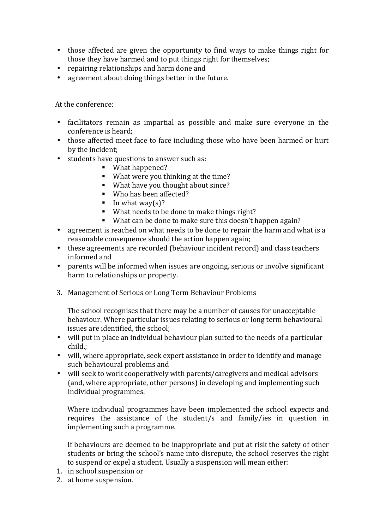- those affected are given the opportunity to find ways to make things right for those they have harmed and to put things right for themselves;
- repairing relationships and harm done and
- agreement about doing things better in the future.

At the conference:

- facilitators remain as impartial as possible and make sure everyone in the conference is heard;
- those affected meet face to face including those who have been harmed or hurt by the incident;
- students have questions to answer such as:
	- What happened?
	- What were you thinking at the time?
	- What have you thought about since?
	- Who has been affected?
	- In what way(s)?
	- What needs to be done to make things right?
	- What can be done to make sure this doesn't happen again?
- agreement is reached on what needs to be done to repair the harm and what is a reasonable consequence should the action happen again;
- these agreements are recorded (behaviour incident record) and class teachers informed and
- parents will be informed when issues are ongoing, serious or involve significant harm to relationships or property.
- 3. Management of Serious or Long Term Behaviour Problems

The school recognises that there may be a number of causes for unacceptable behaviour. Where particular issues relating to serious or long term behavioural issues are identified, the school;

- will put in place an individual behaviour plan suited to the needs of a particular child.;
- will, where appropriate, seek expert assistance in order to identify and manage such behavioural problems and
- will seek to work cooperatively with parents/caregivers and medical advisors (and, where appropriate, other persons) in developing and implementing such individual programmes.

Where individual programmes have been implemented the school expects and requires the assistance of the student/s and family/ies in question in implementing such a programme.

If behaviours are deemed to be inappropriate and put at risk the safety of other students or bring the school's name into disrepute, the school reserves the right to suspend or expel a student. Usually a suspension will mean either:

- 1. in school suspension or
- 2. at home suspension.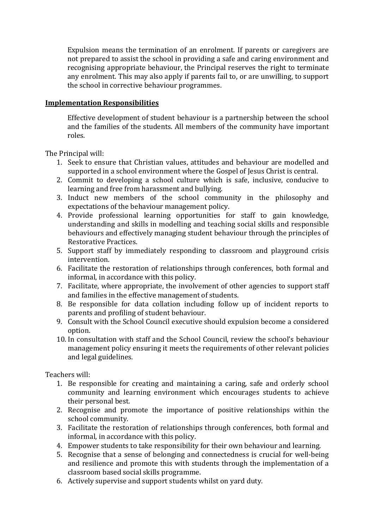Expulsion means the termination of an enrolment. If parents or caregivers are not prepared to assist the school in providing a safe and caring environment and recognising appropriate behaviour, the Principal reserves the right to terminate any enrolment. This may also apply if parents fail to, or are unwilling, to support the school in corrective behaviour programmes.

#### **Implementation Responsibilities**

Effective development of student behaviour is a partnership between the school and the families of the students. All members of the community have important roles.

The Principal will:

- 1. Seek to ensure that Christian values, attitudes and behaviour are modelled and supported in a school environment where the Gospel of Jesus Christ is central.
- 2. Commit to developing a school culture which is safe, inclusive, conducive to learning and free from harassment and bullying.
- 3. Induct new members of the school community in the philosophy and expectations of the behaviour management policy.
- 4. Provide professional learning opportunities for staff to gain knowledge, understanding and skills in modelling and teaching social skills and responsible behaviours and effectively managing student behaviour through the principles of Restorative Practices.
- 5. Support staff by immediately responding to classroom and playground crisis intervention.
- 6. Facilitate the restoration of relationships through conferences, both formal and informal, in accordance with this policy.
- 7. Facilitate, where appropriate, the involvement of other agencies to support staff and families in the effective management of students.
- 8. Be responsible for data collation including follow up of incident reports to parents and profiling of student behaviour.
- 9. Consult with the School Council executive should expulsion become a considered option.
- 10. In consultation with staff and the School Council, review the school's behaviour management policy ensuring it meets the requirements of other relevant policies and legal guidelines.

Teachers will:

- 1. Be responsible for creating and maintaining a caring, safe and orderly school community and learning environment which encourages students to achieve their personal best.
- 2. Recognise and promote the importance of positive relationships within the school community.
- 3. Facilitate the restoration of relationships through conferences, both formal and informal, in accordance with this policy.
- 4. Empower students to take responsibility for their own behaviour and learning.
- 5. Recognise that a sense of belonging and connectedness is crucial for well-being and resilience and promote this with students through the implementation of a classroom based social skills programme.
- 6. Actively supervise and support students whilst on yard duty.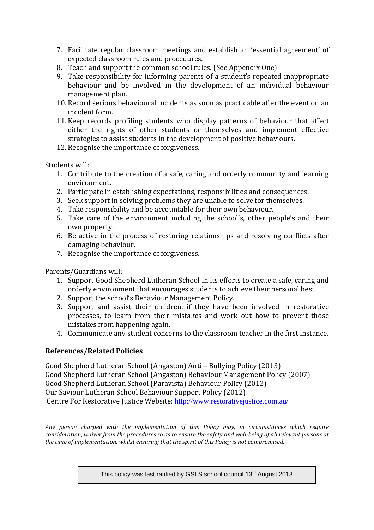- 7. Facilitate regular classroom meetings and establish an 'essential agreement' of expected classroom rules and procedures.
- 8. Teach and support the common school rules. (See Appendix One)
- 9. Take responsibility for informing parents of a student's repeated inappropriate behaviour and be involved in the development of an individual behaviour management plan.
- 10. Record serious behavioural incidents as soon as practicable after the event on an incident form.
- 11. Keep records profiling students who display patterns of behaviour that affect either the rights of other students or themselves and implement effective strategies to assist students in the development of positive behaviours.
- 12. Recognise the importance of forgiveness.

Students will:

- 1. Contribute to the creation of a safe, caring and orderly community and learning environment.
- 2. Participate in establishing expectations, responsibilities and consequences.
- 3. Seek support in solving problems they are unable to solve for themselves.
- 4. Take responsibility and be accountable for their own behaviour.
- 5. Take care of the environment including the school's, other people's and their own property.
- 6. Be active in the process of restoring relationships and resolving conflicts after damaging behaviour.
- 7. Recognise the importance of forgiveness.

Parents/Guardians will:

- 1. Support Good Shepherd Lutheran School in its efforts to create a safe, caring and orderly environment that encourages students to achieve their personal best.
- 2. Support the school's Behaviour Management Policy.
- 3. Support and assist their children, if they have been involved in restorative processes, to learn from their mistakes and work out how to prevent those mistakes from happening again.
- 4. Communicate any student concerns to the classroom teacher in the first instance.

#### **References/Related Policies**

Good Shepherd Lutheran School (Angaston) Anti – Bullying Policy (2013) Good Shepherd Lutheran School (Angaston) Behaviour Management Policy (2007) Good Shepherd Lutheran School (Paravista) Behaviour Policy (2012) Our Saviour Lutheran School Behaviour Support Policy (2012) Centre For Restorative Justice Website: http://www.restorativejustice.com.au/

*Any person charged with the implementation of this Policy may, in circumstances which require consideration, waiver from the procedures so as to ensure the safety and well-being of all relevant persons at the time of implementation, whilst ensuring that the spirit of this Policy is not compromised.* 

This policy was last ratified by GSLS school council 13<sup>th</sup> August 2013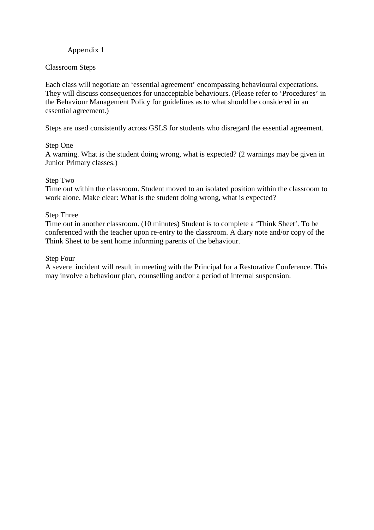#### Classroom Steps

Each class will negotiate an 'essential agreement' encompassing behavioural expectations. They will discuss consequences for unacceptable behaviours. (Please refer to 'Procedures' in the Behaviour Management Policy for guidelines as to what should be considered in an essential agreement.)

Steps are used consistently across GSLS for students who disregard the essential agreement.

#### Step One

A warning. What is the student doing wrong, what is expected? (2 warnings may be given in Junior Primary classes.)

#### Step Two

Time out within the classroom. Student moved to an isolated position within the classroom to work alone. Make clear: What is the student doing wrong, what is expected?

#### Step Three

Time out in another classroom. (10 minutes) Student is to complete a 'Think Sheet'. To be conferenced with the teacher upon re-entry to the classroom. A diary note and/or copy of the Think Sheet to be sent home informing parents of the behaviour.

#### Step Four

A severe incident will result in meeting with the Principal for a Restorative Conference. This may involve a behaviour plan, counselling and/or a period of internal suspension.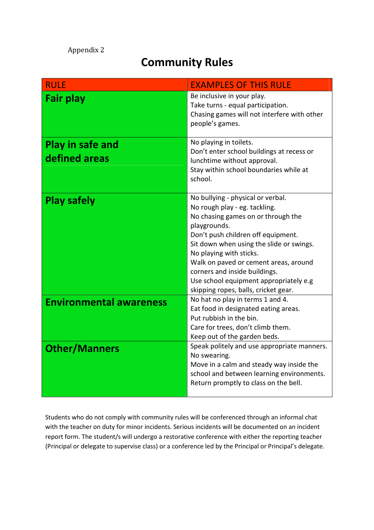## **Community Rules**

| <b>RULE</b>                              | <b>EXAMPLES OF THIS RULE</b>                                                                                                                                                                                                                                                                                                                                                                      |
|------------------------------------------|---------------------------------------------------------------------------------------------------------------------------------------------------------------------------------------------------------------------------------------------------------------------------------------------------------------------------------------------------------------------------------------------------|
| <b>Fair play</b>                         | Be inclusive in your play.<br>Take turns - equal participation.<br>Chasing games will not interfere with other<br>people's games.                                                                                                                                                                                                                                                                 |
| <b>Play in safe and</b><br>defined areas | No playing in toilets.<br>Don't enter school buildings at recess or<br>lunchtime without approval.<br>Stay within school boundaries while at<br>school.                                                                                                                                                                                                                                           |
| <b>Play safely</b>                       | No bullying - physical or verbal.<br>No rough play - eg. tackling.<br>No chasing games on or through the<br>playgrounds.<br>Don't push children off equipment.<br>Sit down when using the slide or swings.<br>No playing with sticks.<br>Walk on paved or cement areas, around<br>corners and inside buildings.<br>Use school equipment appropriately e.g<br>skipping ropes, balls, cricket gear. |
| <b>Environmental awareness</b>           | No hat no play in terms 1 and 4.<br>Eat food in designated eating areas.<br>Put rubbish in the bin.<br>Care for trees, don't climb them.<br>Keep out of the garden beds.                                                                                                                                                                                                                          |
| <b>Other/Manners</b>                     | Speak politely and use appropriate manners.<br>No swearing.<br>Move in a calm and steady way inside the<br>school and between learning environments.<br>Return promptly to class on the bell.                                                                                                                                                                                                     |

Students who do not comply with community rules will be conferenced through an informal chat with the teacher on duty for minor incidents. Serious incidents will be documented on an incident report form. The student/s will undergo a restorative conference with either the reporting teacher (Principal or delegate to supervise class) or a conference led by the Principal or Principal's delegate.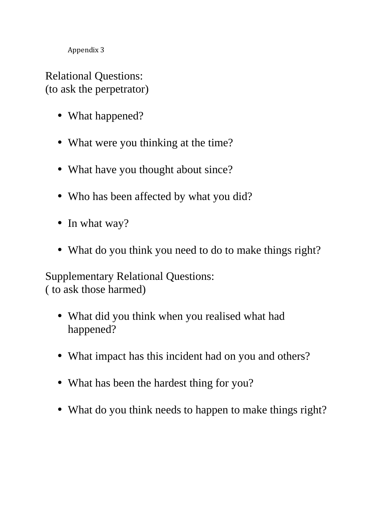Relational Questions: (to ask the perpetrator)

- What happened?
- What were you thinking at the time?
- What have you thought about since?
- Who has been affected by what you did?
- In what way?
- What do you think you need to do to make things right?

Supplementary Relational Questions: ( to ask those harmed)

- What did you think when you realised what had happened?
- What impact has this incident had on you and others?
- What has been the hardest thing for you?
- What do you think needs to happen to make things right?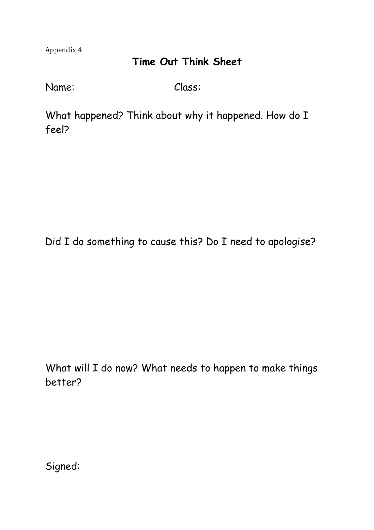### **Time Out Think Sheet**

Name: Class:

What happened? Think about why it happened. How do I feel?

Did I do something to cause this? Do I need to apologise?

What will I do now? What needs to happen to make things better?

Signed: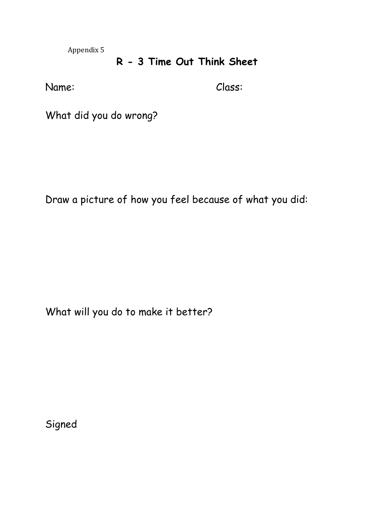### **R - 3 Time Out Think Sheet**

Name: Class:

What did you do wrong?

Draw a picture of how you feel because of what you did:

What will you do to make it better?

Signed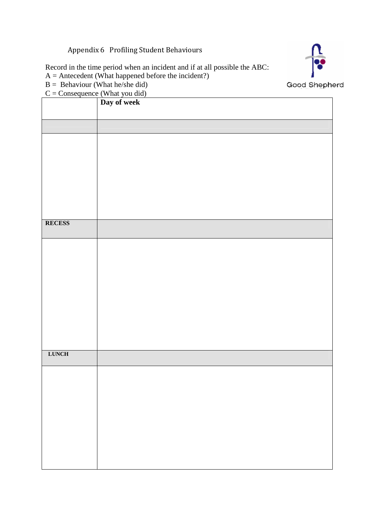Appendix 6 Profiling Student Behaviours

Record in the time period when an incident and if at all possible the ABC:

- $A =$  Antecedent (What happened before the incident?)
- $B =$  Behaviour (What he/she did)
- $C =$ Consequence (What you did)

|               | Day of week |
|---------------|-------------|
|               |             |
|               |             |
|               |             |
|               |             |
|               |             |
|               |             |
|               |             |
|               |             |
|               |             |
| <b>RECESS</b> |             |
|               |             |
|               |             |
|               |             |
|               |             |
|               |             |
|               |             |
|               |             |
|               |             |
|               |             |
|               |             |
| <b>LUNCH</b>  |             |
|               |             |
|               |             |
|               |             |
|               |             |
|               |             |
|               |             |
|               |             |
|               |             |
|               |             |
|               |             |